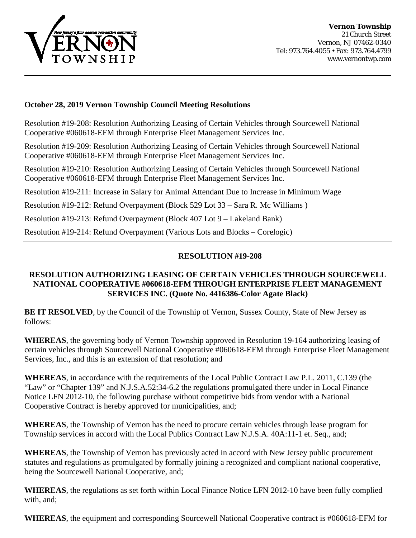

### **October 28, 2019 Vernon Township Council Meeting Resolutions**

Resolution #19-208: Resolution Authorizing Leasing of Certain Vehicles through Sourcewell National Cooperative #060618-EFM through Enterprise Fleet Management Services Inc.

Resolution #19-209: Resolution Authorizing Leasing of Certain Vehicles through Sourcewell National Cooperative #060618-EFM through Enterprise Fleet Management Services Inc.

Resolution #19-210: Resolution Authorizing Leasing of Certain Vehicles through Sourcewell National Cooperative #060618-EFM through Enterprise Fleet Management Services Inc.

Resolution #19-211: Increase in Salary for Animal Attendant Due to Increase in Minimum Wage

Resolution #19-212: Refund Overpayment (Block 529 Lot 33 – Sara R. Mc Williams )

Resolution #19-213: Refund Overpayment (Block 407 Lot 9 – Lakeland Bank)

Resolution #19-214: Refund Overpayment (Various Lots and Blocks – Corelogic)

### **RESOLUTION #19-208**

## **RESOLUTION AUTHORIZING LEASING OF CERTAIN VEHICLES THROUGH SOURCEWELL NATIONAL COOPERATIVE #060618-EFM THROUGH ENTERPRISE FLEET MANAGEMENT SERVICES INC. (Quote No. 4416386-Color Agate Black)**

**BE IT RESOLVED**, by the Council of the Township of Vernon, Sussex County, State of New Jersey as follows:

**WHEREAS**, the governing body of Vernon Township approved in Resolution 19-164 authorizing leasing of certain vehicles through Sourcewell National Cooperative #060618-EFM through Enterprise Fleet Management Services, Inc., and this is an extension of that resolution; and

**WHEREAS**, in accordance with the requirements of the Local Public Contract Law P.L. 2011, C.139 (the "Law" or "Chapter 139" and N.J.S.A.52:34-6.2 the regulations promulgated there under in Local Finance Notice LFN 2012-10, the following purchase without competitive bids from vendor with a National Cooperative Contract is hereby approved for municipalities, and;

**WHEREAS**, the Township of Vernon has the need to procure certain vehicles through lease program for Township services in accord with the Local Publics Contract Law N.J.S.A. 40A:11-1 et. Seq., and;

**WHEREAS**, the Township of Vernon has previously acted in accord with New Jersey public procurement statutes and regulations as promulgated by formally joining a recognized and compliant national cooperative, being the Sourcewell National Cooperative, and;

**WHEREAS**, the regulations as set forth within Local Finance Notice LFN 2012-10 have been fully complied with, and;

**WHEREAS**, the equipment and corresponding Sourcewell National Cooperative contract is #060618-EFM for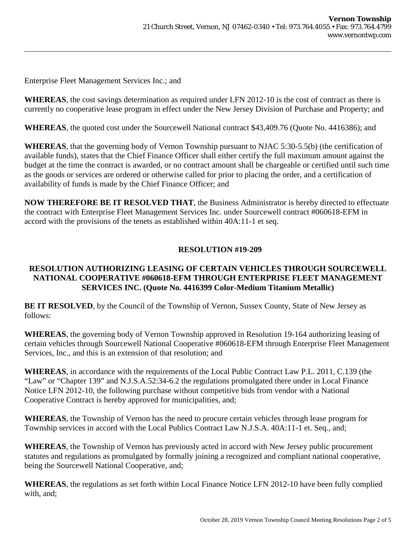Enterprise Fleet Management Services Inc.; and

**WHEREAS**, the cost savings determination as required under LFN 2012-10 is the cost of contract as there is currently no cooperative lease program in effect under the New Jersey Division of Purchase and Property; and

**WHEREAS**, the quoted cost under the Sourcewell National contract \$43,409.76 (Quote No. 4416386); and

**WHEREAS**, that the governing body of Vernon Township pursuant to NJAC 5:30-5.5(b) (the certification of available funds), states that the Chief Finance Officer shall either certify the full maximum amount against the budget at the time the contract is awarded, or no contract amount shall be chargeable or certified until such time as the goods or services are ordered or otherwise called for prior to placing the order, and a certification of availability of funds is made by the Chief Finance Officer; and

**NOW THEREFORE BE IT RESOLVED THAT**, the Business Administrator is hereby directed to effectuate the contract with Enterprise Fleet Management Services Inc. under Sourcewell contract #060618-EFM in accord with the provisions of the tenets as established within 40A:11-1 et seq.

# **RESOLUTION #19-209**

## **RESOLUTION AUTHORIZING LEASING OF CERTAIN VEHICLES THROUGH SOURCEWELL NATIONAL COOPERATIVE #060618-EFM THROUGH ENTERPRISE FLEET MANAGEMENT SERVICES INC. (Quote No. 4416399 Color-Medium Titanium Metallic)**

**BE IT RESOLVED**, by the Council of the Township of Vernon, Sussex County, State of New Jersey as follows:

**WHEREAS**, the governing body of Vernon Township approved in Resolution 19-164 authorizing leasing of certain vehicles through Sourcewell National Cooperative #060618-EFM through Enterprise Fleet Management Services, Inc., and this is an extension of that resolution; and

**WHEREAS**, in accordance with the requirements of the Local Public Contract Law P.L. 2011, C.139 (the "Law" or "Chapter 139" and N.J.S.A.52:34-6.2 the regulations promulgated there under in Local Finance Notice LFN 2012-10, the following purchase without competitive bids from vendor with a National Cooperative Contract is hereby approved for municipalities, and;

**WHEREAS**, the Township of Vernon has the need to procure certain vehicles through lease program for Township services in accord with the Local Publics Contract Law N.J.S.A. 40A:11-1 et. Seq., and;

**WHEREAS**, the Township of Vernon has previously acted in accord with New Jersey public procurement statutes and regulations as promulgated by formally joining a recognized and compliant national cooperative, being the Sourcewell National Cooperative, and;

**WHEREAS**, the regulations as set forth within Local Finance Notice LFN 2012-10 have been fully complied with, and;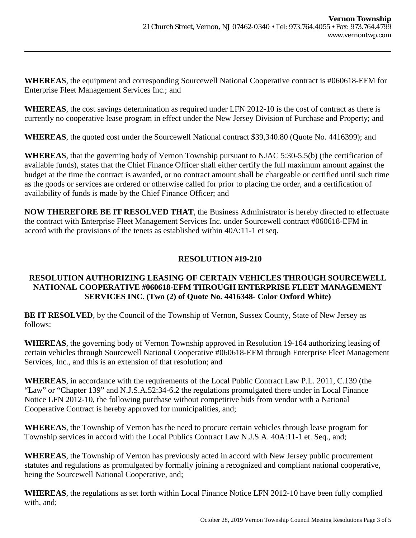**WHEREAS**, the equipment and corresponding Sourcewell National Cooperative contract is #060618-EFM for Enterprise Fleet Management Services Inc.; and

**WHEREAS**, the cost savings determination as required under LFN 2012-10 is the cost of contract as there is currently no cooperative lease program in effect under the New Jersey Division of Purchase and Property; and

**WHEREAS**, the quoted cost under the Sourcewell National contract \$39,340.80 (Quote No. 4416399); and

**WHEREAS**, that the governing body of Vernon Township pursuant to NJAC 5:30-5.5(b) (the certification of available funds), states that the Chief Finance Officer shall either certify the full maximum amount against the budget at the time the contract is awarded, or no contract amount shall be chargeable or certified until such time as the goods or services are ordered or otherwise called for prior to placing the order, and a certification of availability of funds is made by the Chief Finance Officer; and

**NOW THEREFORE BE IT RESOLVED THAT**, the Business Administrator is hereby directed to effectuate the contract with Enterprise Fleet Management Services Inc. under Sourcewell contract #060618-EFM in accord with the provisions of the tenets as established within 40A:11-1 et seq.

# **RESOLUTION #19-210**

## **RESOLUTION AUTHORIZING LEASING OF CERTAIN VEHICLES THROUGH SOURCEWELL NATIONAL COOPERATIVE #060618-EFM THROUGH ENTERPRISE FLEET MANAGEMENT SERVICES INC. (Two (2) of Quote No. 4416348- Color Oxford White)**

**BE IT RESOLVED**, by the Council of the Township of Vernon, Sussex County, State of New Jersey as follows:

**WHEREAS**, the governing body of Vernon Township approved in Resolution 19-164 authorizing leasing of certain vehicles through Sourcewell National Cooperative #060618-EFM through Enterprise Fleet Management Services, Inc., and this is an extension of that resolution; and

**WHEREAS**, in accordance with the requirements of the Local Public Contract Law P.L. 2011, C.139 (the "Law" or "Chapter 139" and N.J.S.A.52:34-6.2 the regulations promulgated there under in Local Finance Notice LFN 2012-10, the following purchase without competitive bids from vendor with a National Cooperative Contract is hereby approved for municipalities, and;

**WHEREAS**, the Township of Vernon has the need to procure certain vehicles through lease program for Township services in accord with the Local Publics Contract Law N.J.S.A. 40A:11-1 et. Seq., and;

**WHEREAS**, the Township of Vernon has previously acted in accord with New Jersey public procurement statutes and regulations as promulgated by formally joining a recognized and compliant national cooperative, being the Sourcewell National Cooperative, and;

**WHEREAS**, the regulations as set forth within Local Finance Notice LFN 2012-10 have been fully complied with, and;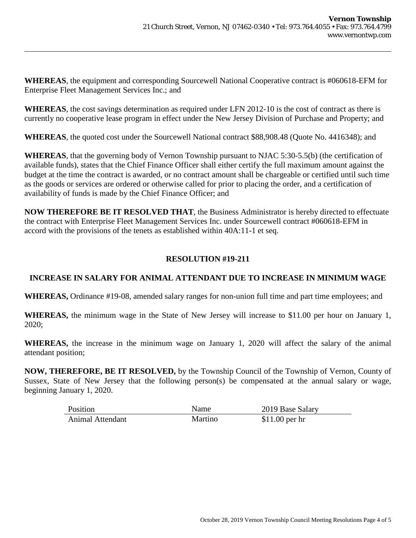**WHEREAS**, the equipment and corresponding Sourcewell National Cooperative contract is #060618-EFM for Enterprise Fleet Management Services Inc.; and

**WHEREAS**, the cost savings determination as required under LFN 2012-10 is the cost of contract as there is currently no cooperative lease program in effect under the New Jersey Division of Purchase and Property; and

**WHEREAS**, the quoted cost under the Sourcewell National contract \$88,908.48 (Quote No. 4416348); and

**WHEREAS**, that the governing body of Vernon Township pursuant to NJAC 5:30-5.5(b) (the certification of available funds), states that the Chief Finance Officer shall either certify the full maximum amount against the budget at the time the contract is awarded, or no contract amount shall be chargeable or certified until such time as the goods or services are ordered or otherwise called for prior to placing the order, and a certification of availability of funds is made by the Chief Finance Officer; and

**NOW THEREFORE BE IT RESOLVED THAT**, the Business Administrator is hereby directed to effectuate the contract with Enterprise Fleet Management Services Inc. under Sourcewell contract #060618-EFM in accord with the provisions of the tenets as established within 40A:11-1 et seq.

# **RESOLUTION #19-211**

## **INCREASE IN SALARY FOR ANIMAL ATTENDANT DUE TO INCREASE IN MINIMUM WAGE**

**WHEREAS,** Ordinance #19-08, amended salary ranges for non-union full time and part time employees; and

**WHEREAS,** the minimum wage in the State of New Jersey will increase to \$11.00 per hour on January 1, 2020;

**WHEREAS,** the increase in the minimum wage on January 1, 2020 will affect the salary of the animal attendant position;

**NOW, THEREFORE, BE IT RESOLVED,** by the Township Council of the Township of Vernon, County of Sussex, State of New Jersey that the following person(s) be compensated at the annual salary or wage, beginning January 1, 2020.

| Position                | Name    | 2019 Base Salary |
|-------------------------|---------|------------------|
| <b>Animal Attendant</b> | Martino | $$11.00$ per hr  |